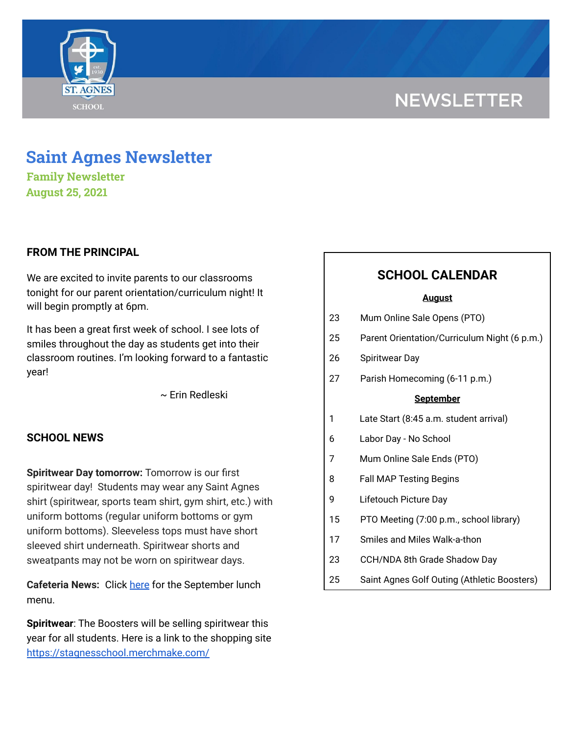# **NEWSLETTER**



# **Saint Agnes Newsletter**

**Family Newsletter August 25, 2021**

## **FROM THE PRINCIPAL**

We are excited to invite parents to our classrooms tonight for our parent orientation/curriculum night! It will begin promptly at 6pm.

It has been a great first week of school. I see lots of smiles throughout the day as students get into their classroom routines. I'm looking forward to a fantastic year!

~ Erin Redleski

### **SCHOOL NEWS**

**Spiritwear Day tomorrow:** Tomorrow is our first spiritwear day! Students may wear any Saint Agnes shirt (spiritwear, sports team shirt, gym shirt, etc.) with uniform bottoms (regular uniform bottoms or gym uniform bottoms). Sleeveless tops must have short sleeved shirt underneath. Spiritwear shorts and sweatpants may not be worn on spiritwear days.

**Cafeteria News:** Click [here](https://school.saintagnes.com/wp-content/uploads/2021/08/Sept-ES-Menu.pdf) for the September lunch menu.

**Spiritwear**: The Boosters will be selling spiritwear this year for all students. Here is a link to the shopping site <https://stagnesschool.merchmake.com/>

# **SCHOOL CALENDAR**

#### **August**

| 23               | Mum Online Sale Opens (PTO)                  |
|------------------|----------------------------------------------|
| 25               | Parent Orientation/Curriculum Night (6 p.m.) |
| 26               | <b>Spiritwear Day</b>                        |
| 27               | Parish Homecoming (6-11 p.m.)                |
| <b>September</b> |                                              |
| 1                | Late Start (8:45 a.m. student arrival)       |
| 6                | Labor Day - No School                        |
| 7                | Mum Online Sale Ends (PTO)                   |
| 8                | <b>Fall MAP Testing Begins</b>               |
| 9                | Lifetouch Picture Day                        |
| 15               | PTO Meeting (7:00 p.m., school library)      |
| 17               | Smiles and Miles Walk-a-thon                 |
| 23               | CCH/NDA 8th Grade Shadow Day                 |
| 25               | Saint Agnes Golf Outing (Athletic Boosters)  |
|                  |                                              |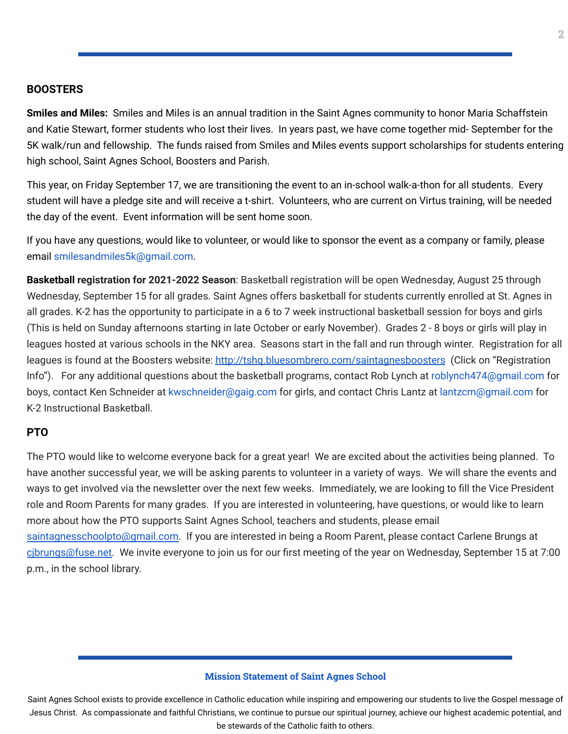**Smiles and Miles:** Smiles and Miles is an annual tradition in the Saint Agnes community to honor Maria Schaffstein and Katie Stewart, former students who lost their lives. In years past, we have come together mid- September for the 5K walk/run and fellowship. The funds raised from Smiles and Miles events support scholarships for students entering high school, Saint Agnes School, Boosters and Parish.

This year, on Friday September 17, we are transitioning the event to an in-school walk-a-thon for all students. Every student will have a pledge site and will receive a t-shirt. Volunteers, who are current on Virtus training, will be needed the day of the event. Event information will be sent home soon.

If you have any questions, would like to volunteer, or would like to sponsor the event as a company or family, please email smilesandmiles5k@gmail.com.

**Basketball registration for 2021-2022 Season**: Basketball registration will be open Wednesday, August 25 through Wednesday, September 15 for all grades. Saint Agnes offers basketball for students currently enrolled at St. Agnes in all grades. K-2 has the opportunity to participate in a 6 to 7 week instructional basketball session for boys and girls (This is held on Sunday afternoons starting in late October or early November). Grades 2 - 8 boys or girls will play in leagues hosted at various schools in the NKY area. Seasons start in the fall and run through winter. Registration for all leagues is found at the Boosters website: [http://tshq.bluesombrero.com/saintagnesboosters](https://urldefense.com/v3/__http:/tshq.bluesombrero.com/saintagnesboosters__;!!CsmrWXz9mOkSc4Hdn1fjj00!kHApvHlF-qTDyFF0uqUvT4URmQ4V13G9s2IVn6UEFeBIs9u27oKcSoL3n4kZC1VR$) (Click on "Registration Info"). For any additional questions about the basketball programs, contact Rob Lynch at roblynch474@gmail.com for boys, contact Ken Schneider at kwschneider@gaig.com for girls, and contact Chris Lantz at lantzcm@gmail.com for K-2 Instructional Basketball.

#### **PTO**

The PTO would like to welcome everyone back for a great year! We are excited about the activities being planned. To have another successful year, we will be asking parents to volunteer in a variety of ways. We will share the events and ways to get involved via the newsletter over the next few weeks. Immediately, we are looking to fill the Vice President role and Room Parents for many grades. If you are interested in volunteering, have questions, or would like to learn more about how the PTO supports Saint Agnes School, teachers and students, please email [saintagnesschoolpto@gmail.com.](mailto:saintagnesschoolpto@gmail.com) If you are interested in being a Room Parent, please contact Carlene Brungs at cibrungs@fuse.net. We invite everyone to join us for our first meeting of the year on Wednesday, September 15 at 7:00 p.m., in the school library.

#### **Mission Statement of Saint Agnes School**

Saint Agnes School exists to provide excellence in Catholic education while inspiring and empowering our students to live the Gospel message of Jesus Christ. As compassionate and faithful Christians, we continue to pursue our spiritual journey, achieve our highest academic potential, and be stewards of the Catholic faith to others.